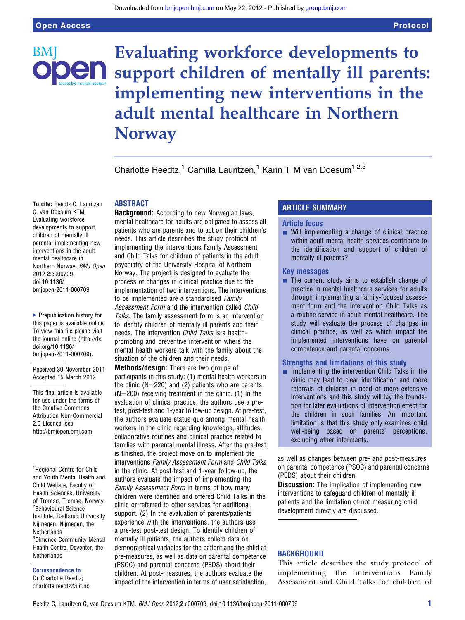BMI

# Evaluating workforce developments to **ICI** support children of mentally ill parents: implementing new interventions in the adult mental healthcare in Northern **Norway**

Charlotte Reedtz,<sup>1</sup> Camilla Lauritzen,<sup>1</sup> Karin T M van Doesum<sup>1,2,3</sup>

## ABSTRACT

To cite: Reedtz C, Lauritzen C, van Doesum KTM. Evaluating workforce developments to support children of mentally ill parents: implementing new interventions in the adult mental healthcare in Northern Norway. BMJ Open 2012;2:e000709. doi:10.1136/ bmjopen-2011-000709

**Prepublication history for** this paper is available online. To view this file please visit the journal online (http://dx. doi.org/10.1136/ bmjopen-2011-000709).

Received 30 November 2011 Accepted 15 March 2012

This final article is available for use under the terms of the Creative Commons Attribution Non-Commercial 2.0 Licence; see http://bmjopen.bmj.com

<sup>1</sup>Regional Centre for Child and Youth Mental Health and Child Welfare, Faculty of Health Sciences, University of Tromsø, Tromsø, Norway <sup>2</sup>Behavioural Science Institute, Radboud University Nijmegen, Nijmegen, the Netherlands 3 Dimence Community Mental Health Centre, Deventer, the Netherlands

Correspondence to Dr Charlotte Reedtz; charlotte.reedtz@uit.no

**Background:** According to new Norwegian laws, mental healthcare for adults are obligated to assess all patients who are parents and to act on their children's needs. This article describes the study protocol of implementing the interventions Family Assessment and Child Talks for children of patients in the adult psychiatry of the University Hospital of Northern Norway. The project is designed to evaluate the process of changes in clinical practice due to the implementation of two interventions. The interventions to be implemented are a standardised Family Assessment Form and the intervention called Child Talks. The family assessment form is an intervention to identify children of mentally ill parents and their needs. The intervention Child Talks is a healthpromoting and preventive intervention where the mental health workers talk with the family about the situation of the children and their needs.

**Methods/design:** There are two groups of participants in this study: (1) mental health workers in the clinic ( $N=220$ ) and (2) patients who are parents  $(N=200)$  receiving treatment in the clinic. (1) In the evaluation of clinical practice, the authors use a pretest, post-test and 1-year follow-up design. At pre-test, the authors evaluate status quo among mental health workers in the clinic regarding knowledge, attitudes, collaborative routines and clinical practice related to families with parental mental illness. After the pre-test is finished, the project move on to implement the interventions Family Assessment Form and Child Talks in the clinic. At post-test and 1-year follow-up, the authors evaluate the impact of implementing the Family Assessment Form in terms of how many children were identified and offered Child Talks in the clinic or referred to other services for additional support. (2) In the evaluation of parents/patients experience with the interventions, the authors use a pre-test post-test design. To identify children of mentally ill patients, the authors collect data on demographical variables for the patient and the child at pre-measures, as well as data on parental competence (PSOC) and parental concerns (PEDS) about their children. At post-measures, the authors evaluate the impact of the intervention in terms of user satisfaction,

## ARTICLE SUMMARY

## Article focus

**Will implementing a change of clinical practice** within adult mental health services contribute to the identification and support of children of mentally ill parents?

#### Key messages

 $\blacksquare$  The current study aims to establish change of practice in mental healthcare services for adults through implementing a family-focused assessment form and the intervention Child Talks as a routine service in adult mental healthcare. The study will evaluate the process of changes in clinical practice, as well as which impact the implemented interventions have on parental competence and parental concerns.

#### Strengths and limitations of this study

 $\blacksquare$  Implementing the intervention Child Talks in the clinic may lead to clear identification and more referrals of children in need of more extensive interventions and this study will lay the foundation for later evaluations of intervention effect for the children in such families. An important limitation is that this study only examines child well-being based on parents' perceptions, excluding other informants.

as well as changes between pre- and post-measures on parental competence (PSOC) and parental concerns (PEDS) about their children.

**Discussion:** The implication of implementing new interventions to safeguard children of mentally ill patients and the limitation of not measuring child development directly are discussed.

## **BACKGROUND**

This article describes the study protocol of implementing the interventions Family Assessment and Child Talks for children of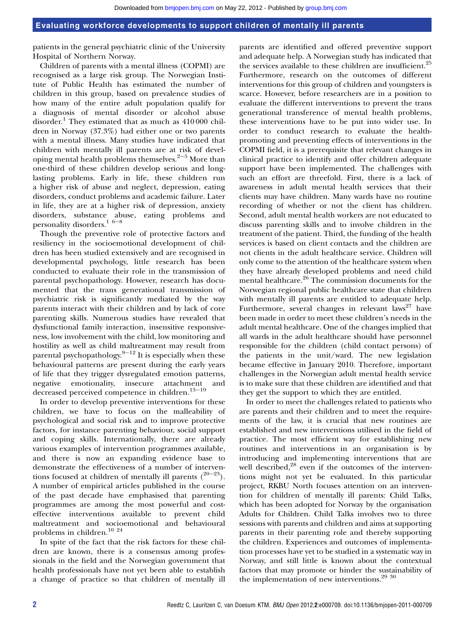patients in the general psychiatric clinic of the University Hospital of Northern Norway.

Children of parents with a mental illness (COPMI) are recognised as a large risk group. The Norwegian Institute of Public Health has estimated the number of children in this group, based on prevalence studies of how many of the entire adult population qualify for a diagnosis of mental disorder or alcohol abuse disorder.<sup>1</sup> They estimated that as much as  $410000$  children in Norway (37.3%) had either one or two parents with a mental illness. Many studies have indicated that children with mentally ill parents are at risk of developing mental health problems themselves. $2-5$  More than one-third of these children develop serious and longlasting problems. Early in life, these children run a higher risk of abuse and neglect, depression, eating disorders, conduct problems and academic failure. Later in life, they are at a higher risk of depression, anxiety disorders, substance abuse, eating problems and personality disorders.<sup>16-8</sup>

Though the preventive role of protective factors and resiliency in the socioemotional development of children has been studied extensively and are recognised in developmental psychology, little research has been conducted to evaluate their role in the transmission of parental psychopathology. However, research has documented that the trans generational transmission of psychiatric risk is significantly mediated by the way parents interact with their children and by lack of core parenting skills. Numerous studies have revealed that dysfunctional family interaction, insensitive responsiveness, low involvement with the child, low monitoring and hostility as well as child maltreatment may result from parental psychopathology. $9-12$  It is especially when these behavioural patterns are present during the early years of life that they trigger dysregulated emotion patterns, negative emotionality, insecure attachment and decreased perceived competence in children. $13-19$ 

In order to develop preventive interventions for these children, we have to focus on the malleability of psychological and social risk and to improve protective factors, for instance parenting behaviour, social support and coping skills. Internationally, there are already various examples of intervention programmes available, and there is now an expanding evidence base to demonstrate the effectiveness of a number of interventions focused at children of mentally ill parents  $(20-23)$ . A number of empirical articles published in the course of the past decade have emphasised that parenting programmes are among the most powerful and costeffective interventions available to prevent child maltreatment and socioemotional and behavioural problems in children.<sup>10 24</sup>

In spite of the fact that the risk factors for these children are known, there is a consensus among professionals in the field and the Norwegian government that health professionals have not yet been able to establish a change of practice so that children of mentally ill

parents are identified and offered preventive support and adequate help. A Norwegian study has indicated that the services available to these children are insufficient.<sup>25</sup> Furthermore, research on the outcomes of different interventions for this group of children and youngsters is scarce. However, before researchers are in a position to evaluate the different interventions to prevent the trans generational transference of mental health problems, these interventions have to be put into wider use. In order to conduct research to evaluate the healthpromoting and preventing effects of interventions in the COPMI field, it is a prerequisite that relevant changes in clinical practice to identify and offer children adequate support have been implemented. The challenges with such an effort are threefold. First, there is a lack of awareness in adult mental health services that their clients may have children. Many wards have no routine recording of whether or not the client has children. Second, adult mental health workers are not educated to discuss parenting skills and to involve children in the treatment of the patient. Third, the funding of the health services is based on client contacts and the children are not clients in the adult healthcare service. Children will only come to the attention of the healthcare system when they have already developed problems and need child mental healthcare.<sup>26</sup> The commission documents for the Norwegian regional public healthcare state that children with mentally ill parents are entitled to adequate help. Furthermore, several changes in relevant laws<sup>27</sup> have been made in order to meet these children's needs in the adult mental healthcare. One of the changes implied that all wards in the adult healthcare should have personnel responsible for the children (child contact persons) of the patients in the unit/ward. The new legislation became effective in January 2010. Therefore, important challenges in the Norwegian adult mental health service is to make sure that these children are identified and that they get the support to which they are entitled.

In order to meet the challenges related to patients who are parents and their children and to meet the requirements of the law, it is crucial that new routines are established and new interventions utilised in the field of practice. The most efficient way for establishing new routines and interventions in an organisation is by introducing and implementing interventions that are well described, $28$  even if the outcomes of the interventions might not yet be evaluated. In this particular project, RKBU North focuses attention on an intervention for children of mentally ill parents: Child Talks, which has been adopted for Norway by the organisation Adults for Children. Child Talks involves two to three sessions with parents and children and aims at supporting parents in their parenting role and thereby supporting the children. Experiences and outcomes of implementation processes have yet to be studied in a systematic way in Norway, and still little is known about the contextual factors that may promote or hinder the sustainability of the implementation of new interventions.<sup>29</sup> <sup>30</sup>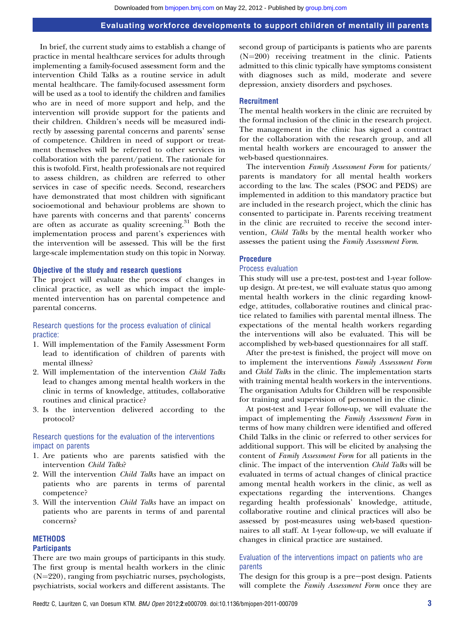In brief, the current study aims to establish a change of practice in mental healthcare services for adults through implementing a family-focused assessment form and the intervention Child Talks as a routine service in adult mental healthcare. The family-focused assessment form will be used as a tool to identify the children and families who are in need of more support and help, and the intervention will provide support for the patients and their children. Children's needs will be measured indirectly by assessing parental concerns and parents' sense of competence. Children in need of support or treatment themselves will be referred to other services in collaboration with the parent/patient. The rationale for this is twofold. First, health professionals are not required to assess children, as children are referred to other services in case of specific needs. Second, researchers have demonstrated that most children with significant socioemotional and behaviour problems are shown to have parents with concerns and that parents' concerns are often as accurate as quality screening.<sup>31</sup> Both the implementation process and parent's experiences with the intervention will be assessed. This will be the first large-scale implementation study on this topic in Norway.

#### Objective of the study and research questions

The project will evaluate the process of changes in clinical practice, as well as which impact the implemented intervention has on parental competence and parental concerns.

## Research questions for the process evaluation of clinical practice:

- 1. Will implementation of the Family Assessment Form lead to identification of children of parents with mental illness?
- 2. Will implementation of the intervention Child Talks lead to changes among mental health workers in the clinic in terms of knowledge, attitudes, collaborative routines and clinical practice?
- 3. Is the intervention delivered according to the protocol?

## Research questions for the evaluation of the interventions impact on parents

- 1. Are patients who are parents satisfied with the intervention Child Talks?
- 2. Will the intervention Child Talks have an impact on patients who are parents in terms of parental competence?
- 3. Will the intervention Child Talks have an impact on patients who are parents in terms of and parental concerns?

# METHODS

## **Participants**

There are two main groups of participants in this study. The first group is mental health workers in the clinic  $(N=220)$ , ranging from psychiatric nurses, psychologists, psychiatrists, social workers and different assistants. The

second group of participants is patients who are parents  $(N=200)$  receiving treatment in the clinic. Patients admitted to this clinic typically have symptoms consistent with diagnoses such as mild, moderate and severe depression, anxiety disorders and psychoses.

#### **Recruitment**

The mental health workers in the clinic are recruited by the formal inclusion of the clinic in the research project. The management in the clinic has signed a contract for the collaboration with the research group, and all mental health workers are encouraged to answer the web-based questionnaires.

The intervention Family Assessment Form for patients/ parents is mandatory for all mental health workers according to the law. The scales (PSOC and PEDS) are implemented in addition to this mandatory practice but are included in the research project, which the clinic has consented to participate in. Parents receiving treatment in the clinic are recruited to receive the second intervention, Child Talks by the mental health worker who assesses the patient using the Family Assessment Form.

## Procedure

## Process evaluation

This study will use a pre-test, post-test and 1-year followup design. At pre-test, we will evaluate status quo among mental health workers in the clinic regarding knowledge, attitudes, collaborative routines and clinical practice related to families with parental mental illness. The expectations of the mental health workers regarding the interventions will also be evaluated. This will be accomplished by web-based questionnaires for all staff.

After the pre-test is finished, the project will move on to implement the interventions Family Assessment Form and Child Talks in the clinic. The implementation starts with training mental health workers in the interventions. The organisation Adults for Children will be responsible for training and supervision of personnel in the clinic.

At post-test and 1-year follow-up, we will evaluate the impact of implementing the Family Assessment Form in terms of how many children were identified and offered Child Talks in the clinic or referred to other services for additional support. This will be elicited by analysing the content of Family Assessment Form for all patients in the clinic. The impact of the intervention Child Talks will be evaluated in terms of actual changes of clinical practice among mental health workers in the clinic, as well as expectations regarding the interventions. Changes regarding health professionals' knowledge, attitude, collaborative routine and clinical practices will also be assessed by post-measures using web-based questionnaires to all staff. At 1-year follow-up, we will evaluate if changes in clinical practice are sustained.

## Evaluation of the interventions impact on patients who are parents

The design for this group is a pre-post design. Patients will complete the Family Assessment Form once they are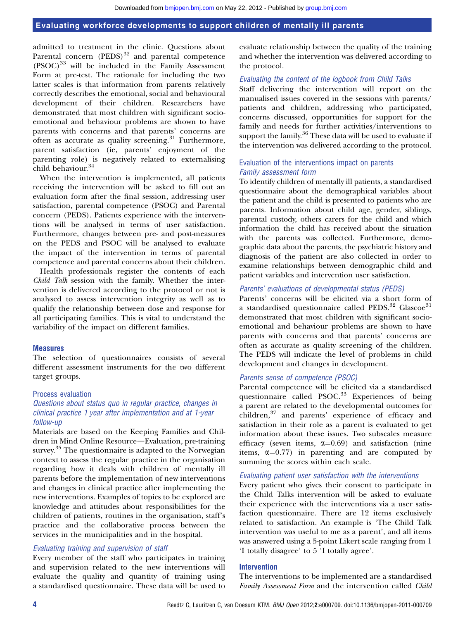admitted to treatment in the clinic. Questions about Parental concern  $(PEDS)^{32}$  and parental competence  $(PSOC)^{33}$  will be included in the Family Assessment Form at pre-test. The rationale for including the two latter scales is that information from parents relatively correctly describes the emotional, social and behavioural development of their children. Researchers have demonstrated that most children with significant socioemotional and behaviour problems are shown to have parents with concerns and that parents' concerns are often as accurate as quality screening. $31$  Furthermore, parent satisfaction (ie, parents' enjoyment of the parenting role) is negatively related to externalising child behaviour.<sup>34</sup>

When the intervention is implemented, all patients receiving the intervention will be asked to fill out an evaluation form after the final session, addressing user satisfaction, parental competence (PSOC) and Parental concern (PEDS). Patients experience with the interventions will be analysed in terms of user satisfaction. Furthermore, changes between pre- and post-measures on the PEDS and PSOC will be analysed to evaluate the impact of the intervention in terms of parental competence and parental concerns about their children.

Health professionals register the contents of each Child Talk session with the family. Whether the intervention is delivered according to the protocol or not is analysed to assess intervention integrity as well as to qualify the relationship between dose and response for all participating families. This is vital to understand the variability of the impact on different families.

#### Measures

The selection of questionnaires consists of several different assessment instruments for the two different target groups.

#### Process evaluation

## Questions about status quo in regular practice, changes in clinical practice 1 year after implementation and at 1-year follow-up

Materials are based on the Keeping Families and Children in Mind Online Resource-Evaluation, pre-training survey.<sup>35</sup> The questionnaire is adapted to the Norwegian context to assess the regular practice in the organisation regarding how it deals with children of mentally ill parents before the implementation of new interventions and changes in clinical practice after implementing the new interventions. Examples of topics to be explored are knowledge and attitudes about responsibilities for the children of patients, routines in the organisation, staff's practice and the collaborative process between the services in the municipalities and in the hospital.

#### Evaluating training and supervision of staff

Every member of the staff who participates in training and supervision related to the new interventions will evaluate the quality and quantity of training using a standardised questionnaire. These data will be used to

evaluate relationship between the quality of the training and whether the intervention was delivered according to the protocol.

## Evaluating the content of the logbook from Child Talks

Staff delivering the intervention will report on the manualised issues covered in the sessions with parents/ patients and children, addressing who participated, concerns discussed, opportunities for support for the family and needs for further activities/interventions to support the family.<sup>36</sup> These data will be used to evaluate if the intervention was delivered according to the protocol.

## Evaluation of the interventions impact on parents Family assessment form

To identify children of mentally ill patients, a standardised questionnaire about the demographical variables about the patient and the child is presented to patients who are parents. Information about child age, gender, siblings, parental custody, others carers for the child and which information the child has received about the situation with the parents was collected. Furthermore, demographic data about the parents, the psychiatric history and diagnosis of the patient are also collected in order to examine relationships between demographic child and patient variables and intervention user satisfaction.

## Parents' evaluations of developmental status (PEDS)

Parents' concerns will be elicited via a short form of a standardised questionnaire called PEDS.<sup>32</sup> Glascoe<sup>31</sup> demonstrated that most children with significant socioemotional and behaviour problems are shown to have parents with concerns and that parents' concerns are often as accurate as quality screening of the children. The PEDS will indicate the level of problems in child development and changes in development.

## Parents sense of competence (PSOC)

Parental competence will be elicited via a standardised questionnaire called PSOC.<sup>33</sup> Experiences of being a parent are related to the developmental outcomes for children,<sup>37</sup> and parents' experience of efficacy and satisfaction in their role as a parent is evaluated to get information about these issues. Two subscales measure efficacy (seven items,  $\alpha=0.69$ ) and satisfaction (nine items,  $\alpha=0.77$  in parenting and are computed by summing the scores within each scale.

#### Evaluating patient user satisfaction with the interventions

Every patient who gives their consent to participate in the Child Talks intervention will be asked to evaluate their experience with the interventions via a user satisfaction questionnaire. There are 12 items exclusively related to satisfaction. An example is 'The Child Talk intervention was useful to me as a parent', and all items was answered using a 5-point Likert scale ranging from 1 'I totally disagree' to 5 'I totally agree'.

## Intervention

The interventions to be implemented are a standardised Family Assessment Form and the intervention called Child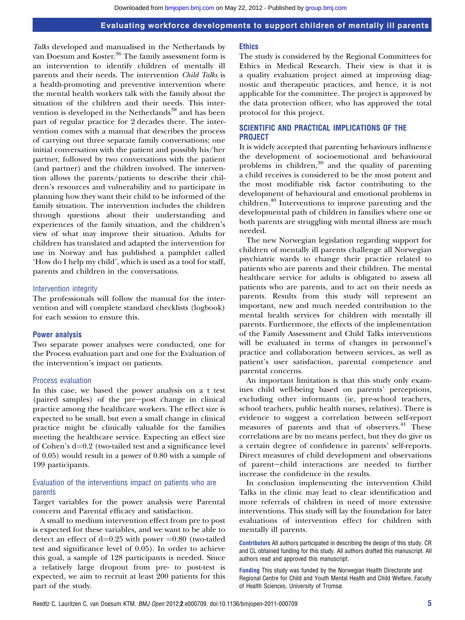Talks developed and manualised in the Netherlands by van Doesum and Koster.<sup>36</sup> The family assessment form is an intervention to identify children of mentally ill parents and their needs. The intervention Child Talks is a health-promoting and preventive intervention where the mental health workers talk with the family about the situation of the children and their needs. This intervention is developed in the Netherlands<sup>38</sup> and has been part of regular practice for 2 decades there. The intervention comes with a manual that describes the process of carrying out three separate family conversations; one initial conversation with the patient and possibly his/her partner, followed by two conversations with the patient (and partner) and the children involved. The intervention allows the parents/patients to describe their children's resources and vulnerability and to participate in planning how they want their child to be informed of the family situation. The intervention includes the children through questions about their understanding and experiences of the family situation, and the children's view of what may improve their situation. Adults for children has translated and adapted the intervention for use in Norway and has published a pamphlet called 'How do I help my child', which is used as a tool for staff, parents and children in the conversations.

#### Intervention integrity

The professionals will follow the manual for the intervention and will complete standard checklists (logbook) for each session to ensure this.

#### Power analysis

Two separate power analyses were conducted, one for the Process evaluation part and one for the Evaluation of the intervention's impact on patients.

#### Process evaluation

In this case, we based the power analysis on a t test (paired samples) of the pre-post change in clinical practice among the healthcare workers. The effect size is expected to be small, but even a small change in clinical practice might be clinically valuable for the families meeting the healthcare service. Expecting an effect size of Cohen's  $d=0.2$  (two-tailed test and a significance level of 0.05) would result in a power of 0.80 with a sample of 199 participants.

## Evaluation of the interventions impact on patients who are parents

Target variables for the power analysis were Parental concern and Parental efficacy and satisfaction.

A small to medium intervention effect from pre to post is expected for these variables, and we want to be able to detect an effect of  $d=0.25$  with power  $=0.80$  (two-tailed test and significance level of 0.05). In order to achieve this goal, a sample of 128 participants is needed. Since a relatively large dropout from pre- to post-test is expected, we aim to recruit at least 200 patients for this part of the study.

#### Ethics

The study is considered by the Regional Committees for Ethics in Medical Research. Their view is that it is a quality evaluation project aimed at improving diagnostic and therapeutic practices, and hence, it is not applicable for the committee. The project is approved by the data protection officer, who has approved the total protocol for this project.

## SCIENTIFIC AND PRACTICAL IMPLICATIONS OF THE **PROJECT**

It is widely accepted that parenting behaviours influence the development of socioemotional and behavioural problems in children, $39$  and the quality of parenting a child receives is considered to be the most potent and the most modifiable risk factor contributing to the development of behavioural and emotional problems in children.<sup>40</sup> Interventions to improve parenting and the developmental path of children in families where one or both parents are struggling with mental illness are much needed.

The new Norwegian legislation regarding support for children of mentally ill parents challenge all Norwegian psychiatric wards to change their practice related to patients who are parents and their children. The mental healthcare service for adults is obligated to assess all patients who are parents, and to act on their needs as parents. Results from this study will represent an important, new and much needed contribution to the mental health services for children with mentally ill parents. Furthermore, the effects of the implementation of the Family Assessment and Child Talks interventions will be evaluated in terms of changes in personnel's practice and collaboration between services, as well as patient's user satisfaction, parental competence and parental concerns.

An important limitation is that this study only examines child well-being based on parents' perceptions, excluding other informants (ie, pre-school teachers, school teachers, public health nurses, relatives). There is evidence to suggest a correlation between self-report measures of parents and that of observers.<sup>41</sup> These correlations are by no means perfect, but they do give us a certain degree of confidence in parents' self-reports. Direct measures of child development and observations of parent-child interactions are needed to further increase the confidence in the results.

In conclusion implementing the intervention Child Talks in the clinic may lead to clear identification and more referrals of children in need of more extensive interventions. This study will lay the foundation for later evaluations of intervention effect for children with mentally ill parents.

Contributors All authors participated in describing the design of this study. CR and CL obtained funding for this study. All authors drafted this manuscript. All authors read and approved this manuscript.

Funding This study was funded by the Norwegian Health Directorate and Regional Centre for Child and Youth Mental Health and Child Welfare, Faculty of Health Sciences, University of Tromsø.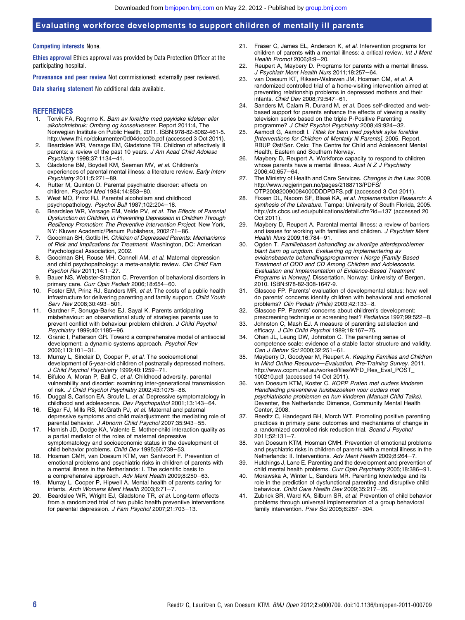#### Competing interests None.

Ethics approval Ethics approval was provided by Data Protection Officer at the participating hospital.

Provenance and peer review Not commissioned; externally peer reviewed.

Data sharing statement No additional data available.

## **REFERENCES**

- 1. Torvik FA, Rognmo K. Barn av foreldre med psykiske lidelser eller alkoholmisbruk: Omfang og konsekvenser. Report 2011:4, The Norwegian Institute on Public Health, 2011. ISBN:978-82-8082-461-5. http://www.fhi.no/dokumenter/0d04decc0b.pdf (accessed 3 Oct 2011).
- 2. Beardslee WR, Versage EM, Gladstone TR. Children of affectively ill parents: a review of the past 10 years. J Am Acad Child Adolesc Psychiatry 1998;37:1134-41.
- 3. Gladstone BM, Boydell KM, Seeman MV, et al. Children's experiences of parental mental illness: a literature review. Early Interv Psychiatry 2011;5:271-89.
- 4. Rutter M, Quinton D. Parental psychiatric disorder: effects on children. Psychol Med 1984;14:853-80.
- 5. West MO, Prinz RJ. Parental alcoholism and childhood psychopathology. Psychol Bull 1987;102:204-18.
- 6. Beardslee WR, Versage EM, Velde PV, et al. The Effects of Parental Dysfunction on Children, in Preventing Depression in Children Through Resiliency Promotion: The Preventive Intervention Project. New York, NY: Kluwer Academic/Plenum Publishers, 2002:71-86.
- 7. Goodman SH, Gotlib IH. Children of Depressed Parents: Mechanisms of Risk and Implications for Treatment. Washington, DC: American Psychological Association, 2002.
- 8. Goodman SH, Rouse MH, Connell AM, et al. Maternal depression and child psychopathology: a meta-analytic review. Clin Child Fam  $Ps$ ychol Rev 2011;14:1-27.
- 9. Bauer NS, Webster-Stratton C. Prevention of behavioral disorders in primary care. Curr Opin Pediatr 2006;18:654-60.
- 10. Foster EM, Prinz RJ, Sanders MR, et al. The costs of a public health infrastructure for delivering parenting and family support. Child Youth Serv Rev 2008;30:493-501.
- 11. Gardner F, Sonuga-Barke EJ, Sayal K. Parents anticipating misbehaviour: an observational study of strategies parents use to prevent conflict with behaviour problem children. J Child Psychol Psychiatry 1999;40:1185-96.
- 12. Granic I, Patterson GR. Toward a comprehensive model of antisocial development: a dynamic systems approach. Psychol Rev 2006:113:101-31.
- 13. Murray L, Sinclair D, Cooper P, et al. The socioemotional development of 5-year-old children of postnatally depressed mothers. J Child Psychol Psychiatry 1999;40:1259-71.
- 14. Bifulco A, Moran P, Ball C, et al. Childhood adversity, parental vulnerability and disorder: examining inter-generational transmission of risk. J Child Psychol Psychiatry 2002;43:1075-86.
- 15. Duggal S, Carlson EA, Sroufe L, et al. Depressive symptomatology in childhood and adolescence. Dev Psychopathol 2001;13:143-64.
- 16. Elgar FJ, Mills RS, McGrath PJ, et al. Maternal and paternal depressive symptoms and child maladjustment: the mediating role of parental behavior. J Abnorm Child Psychol 2007;35:943-55
- 17. Harnish JD, Dodge KA, Valente E. Mother-child interaction quality as a partial mediator of the roles of maternal depressive symptomatology and socioeconomic status in the development of child behavior problems. Child Dev 1995;66:739-53.
- 18. Hosman CMH, van Doesum KTM, van Santvoort F. Prevention of emotional problems and psychiatric risks in children of parents with a mental illness in the Netherlands: I. The scientific basis to a comprehensive approach. Adv Ment Health 2009;8:250-63.
- 19. Murray L, Cooper P, Hipwell A. Mental health of parents caring for infants. Arch Womens Ment Health 2003;6:71-7
- 20. Beardslee WR, Wright EJ, Gladstone TR, et al. Long-term effects from a randomized trial of two public health preventive interventions for parental depression.  $J$  Fam Psychol 2007;21:703-13.
- 21. Fraser C. James EL. Anderson K, et al. Intervention programs for children of parents with a mental illness: a critical review. Int J Ment Health Promot 2006;8:9-20.
- 22. Reupert A, Maybery D. Programs for parents with a mental illness. J Psychiatr Ment Health Nurs 2011:18:257-64.
- 23. van Doesum KT, Riksen-Walraven JM, Hosman CM, et al. A randomized controlled trial of a home-visiting intervention aimed at preventing relationship problems in depressed mothers and their  $in$ fants. Child Dev 2008;79:547-61.
- 24. Sanders M, Calam R, Durand M, et al. Does self-directed and webbased support for parents enhance the effects of viewing a reality television series based on the triple P-Positive Parenting programme? J Child Psychol Psychiatry 2008;49:924-32.
- 25. Aamodt G, Aamodt I. Tiltak for barn med psykisk syke foreldre [Interventions for Children of Mentally Ill Parents]. 2005. Report. RBUP Øst/Sør. Oslo: The Centre for Child and Adolescent Mental Health, Eastern and Southern Norway.
- 26. Maybery D, Reupert A. Workforce capacity to respond to children whose parents have a mental illness. Aust N Z J Psychiatry 2006;40:657-64.
- 27. The Ministry of Health and Care Services. Changes in the Law. 2009. http://www.regjeringen.no/pages/2188713/PDFS/ OTP200820090084000DDDPDFS.pdf (accessed 3 Oct 2011).
- 28. Fixsen DL, Naoom SF, Blasé KA, et al. Implementation Research: A synthesis of the Literature. Tampa: University of South Florida, 2005. http://cfs.cbcs.usf.edu/publications/detail.cfm?id=137 (accessed 20 Oct 2011).
- 29. Maybery D, Reupert A. Parental mental illness: a review of barriers and issues for working with families and children. J Psychiatr Ment Health Nurs 2009;16:784-91.
- 30. Ogden T. Familiebasert behandling av alvorlige atferdsproblemer blant barn og ungdom. Evaluering og implementering av evidensbaserte behandlingsprogrammer i Norge [Family Based Treatment of ODD and CD Among Children and Adolescents. Evaluation and Implementation of Evidence-Based Treatment Programs in Norway]. Dissertation. Norway: University of Bergen, 2010. ISBN:978-82-308-1647-9.
- 31. Glascoe FP. Parents' evaluation of developmental status: how well do parents' concerns identify children with behavioral and emotional problems? Clin Pediatr (Phila) 2003;42:133-8.
- 32. Glascoe FP. Parents' concerns about children's development: prescreening technique or screening test? Pediatrics 1997;99:522-8.
- 33. Johnston C, Mash EJ. A measure of parenting satisfaction and efficacy. J Clin Child Psychol 1989;18:167-75.
- 34. Ohan JL, Leung DW, Johnston C. The parenting sense of competence scale: evidence of a stable factor structure and validity. Can J Behav Sci 2000;32:251-61.
- 35. Mayberry D, Goodyear M, Reupert A. Keeping Families and Children in Mind Online Resource-Evaluation, Pre-Training Survey. 2011. http://www.copmi.net.au/worked/files/WFD\_Res\_Eval\_POST\_ 100210.pdf (accessed 14 Oct 2011).
- 36. van Doesum KTM, Koster C. KOPP Praten met ouders kinderen Handleiding preventieve huisbezoeken voor ouders met psychiatrische problemen en hun kinderen (Manual Child Talks). Deventer, the Netherlands: Dimence, Community Mental Health Center, 2008.
- 37. Reedtz C, Handegard BH, Morch WT. Promoting positive parenting practices in primary pare: outcomes and mechanisms of change in a randomized controlled risk reduction trial. Scand J Psychol 2011:52:131-7
- 38. van Doesum KTM, Hosman CMH. Prevention of emotional problems and psychiatric risks in children of parents with a mental illness in the Netherlands: II. Interventions. Adv Ment Health 2009;8:264-7.
- 39. Hutchings J, Lane E. Parenting and the development and prevention of child mental health problems. Curr Opin Psychiatry 2005;18:386-91.
- 40. Morawska A, Winter L, Sanders MR. Parenting knowledge and its role in the prediction of dysfunctional parenting and disruptive child behaviour. Child Care Health Dev 2009;35:217-26.
- 41. Zubrick SR, Ward KA, Silburn SR, et al. Prevention of child behavior problems through universal implementation of a group behavioral family intervention. Prev Sci 2005;6:287-304.